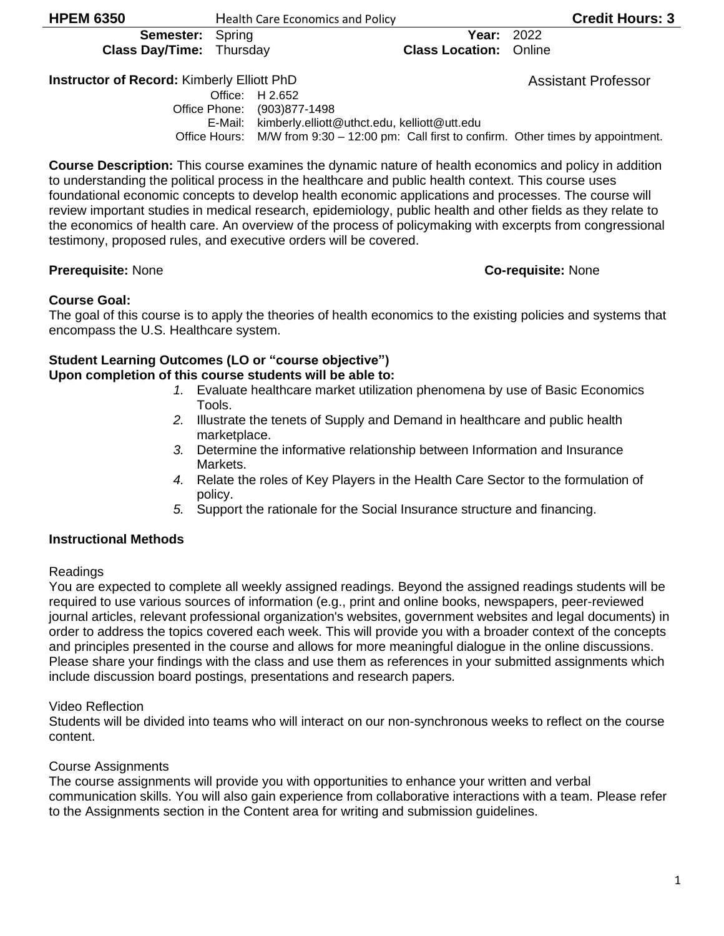1

**Class Day/Time:** Thursday **Class Location:** Online

### **Instructor of Record:** Kimberly Elliott PhD Assistant Professor

Office: H 2.652 Office Phone: (903)877-1498 E-Mail: kimberly.elliott@uthct.edu, kelliott@utt.edu Office Hours: M/W from 9:30 – 12:00 pm: Call first to confirm. Other times by appointment.

**Course Description:** This course examines the dynamic nature of health economics and policy in addition to understanding the political process in the healthcare and public health context. This course uses foundational economic concepts to develop health economic applications and processes. The course will review important studies in medical research, epidemiology, public health and other fields as they relate to the economics of health care. An overview of the process of policymaking with excerpts from congressional testimony, proposed rules, and executive orders will be covered.

# **Prerequisite:** None **Co-requisite:** None

#### **Course Goal:**

The goal of this course is to apply the theories of health economics to the existing policies and systems that encompass the U.S. Healthcare system.

# **Student Learning Outcomes (LO or "course objective")**

**Upon completion of this course students will be able to:**

- *1.* Evaluate healthcare market utilization phenomena by use of Basic Economics Tools.
- *2.* Illustrate the tenets of Supply and Demand in healthcare and public health marketplace.
- *3.* Determine the informative relationship between Information and Insurance Markets.
- *4.* Relate the roles of Key Players in the Health Care Sector to the formulation of policy.
- *5.* Support the rationale for the Social Insurance structure and financing.

# **Instructional Methods**

#### Readings

You are expected to complete all weekly assigned readings. Beyond the assigned readings students will be required to use various sources of information (e.g., print and online books, newspapers, peer-reviewed journal articles, relevant professional organization's websites, government websites and legal documents) in order to address the topics covered each week. This will provide you with a broader context of the concepts and principles presented in the course and allows for more meaningful dialogue in the online discussions. Please share your findings with the class and use them as references in your submitted assignments which include discussion board postings, presentations and research papers.

# Video Reflection

Students will be divided into teams who will interact on our non-synchronous weeks to reflect on the course content.

# Course Assignments

The course assignments will provide you with opportunities to enhance your written and verbal communication skills. You will also gain experience from collaborative interactions with a team. Please refer to the Assignments section in the Content area for writing and submission guidelines.

**Semester:** Spring **Year:** 2022

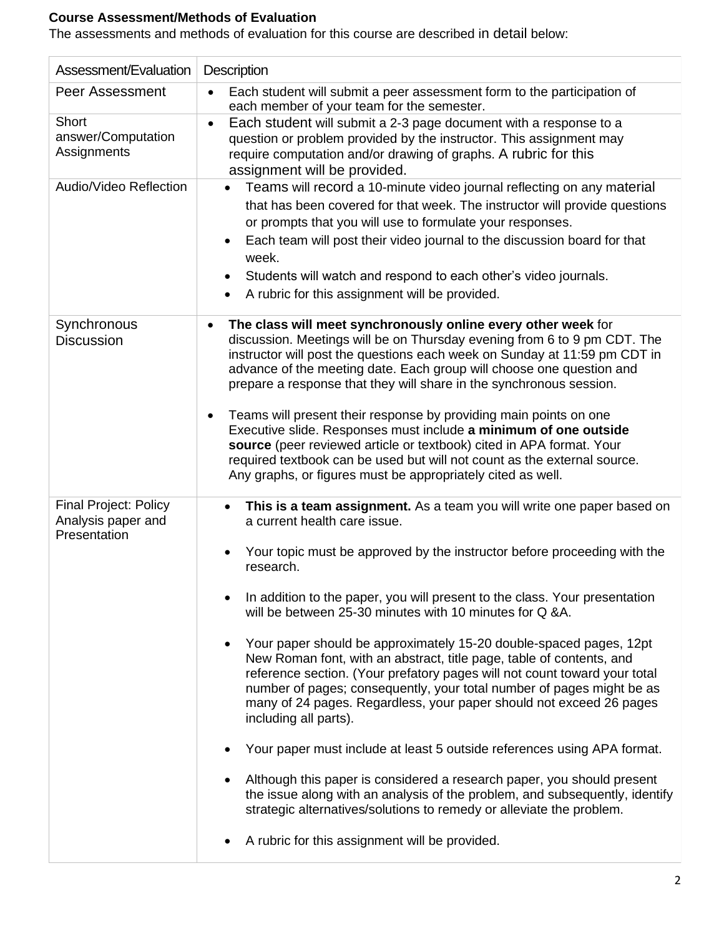# **Course Assessment/Methods of Evaluation**

The assessments and methods of evaluation for this course are described in detail below:

| Assessment/Evaluation                                              | <b>Description</b>                                                                                                                                                                                                                                                                                                                                                                                                                                                                                                                                                                                                                                                                                                                                                                                                                                                                                                                                                                                                                                                                                         |  |  |  |  |
|--------------------------------------------------------------------|------------------------------------------------------------------------------------------------------------------------------------------------------------------------------------------------------------------------------------------------------------------------------------------------------------------------------------------------------------------------------------------------------------------------------------------------------------------------------------------------------------------------------------------------------------------------------------------------------------------------------------------------------------------------------------------------------------------------------------------------------------------------------------------------------------------------------------------------------------------------------------------------------------------------------------------------------------------------------------------------------------------------------------------------------------------------------------------------------------|--|--|--|--|
| <b>Peer Assessment</b>                                             | Each student will submit a peer assessment form to the participation of<br>$\bullet$<br>each member of your team for the semester.                                                                                                                                                                                                                                                                                                                                                                                                                                                                                                                                                                                                                                                                                                                                                                                                                                                                                                                                                                         |  |  |  |  |
| Short<br>answer/Computation<br>Assignments                         | Each student will submit a 2-3 page document with a response to a<br>$\bullet$<br>question or problem provided by the instructor. This assignment may<br>require computation and/or drawing of graphs. A rubric for this<br>assignment will be provided.                                                                                                                                                                                                                                                                                                                                                                                                                                                                                                                                                                                                                                                                                                                                                                                                                                                   |  |  |  |  |
| Audio/Video Reflection                                             | Teams will record a 10-minute video journal reflecting on any material<br>that has been covered for that week. The instructor will provide questions<br>or prompts that you will use to formulate your responses.<br>Each team will post their video journal to the discussion board for that<br>week.<br>Students will watch and respond to each other's video journals.<br>A rubric for this assignment will be provided.                                                                                                                                                                                                                                                                                                                                                                                                                                                                                                                                                                                                                                                                                |  |  |  |  |
| Synchronous<br><b>Discussion</b>                                   | The class will meet synchronously online every other week for<br>discussion. Meetings will be on Thursday evening from 6 to 9 pm CDT. The<br>instructor will post the questions each week on Sunday at 11:59 pm CDT in<br>advance of the meeting date. Each group will choose one question and<br>prepare a response that they will share in the synchronous session.<br>Teams will present their response by providing main points on one<br>Executive slide. Responses must include a minimum of one outside<br>source (peer reviewed article or textbook) cited in APA format. Your<br>required textbook can be used but will not count as the external source.<br>Any graphs, or figures must be appropriately cited as well.                                                                                                                                                                                                                                                                                                                                                                          |  |  |  |  |
| <b>Final Project: Policy</b><br>Analysis paper and<br>Presentation | This is a team assignment. As a team you will write one paper based on<br>a current health care issue.<br>Your topic must be approved by the instructor before proceeding with the<br>research.<br>In addition to the paper, you will present to the class. Your presentation<br>will be between 25-30 minutes with 10 minutes for Q &A.<br>Your paper should be approximately 15-20 double-spaced pages, 12pt<br>New Roman font, with an abstract, title page, table of contents, and<br>reference section. (Your prefatory pages will not count toward your total<br>number of pages; consequently, your total number of pages might be as<br>many of 24 pages. Regardless, your paper should not exceed 26 pages<br>including all parts).<br>Your paper must include at least 5 outside references using APA format.<br>Although this paper is considered a research paper, you should present<br>the issue along with an analysis of the problem, and subsequently, identify<br>strategic alternatives/solutions to remedy or alleviate the problem.<br>A rubric for this assignment will be provided. |  |  |  |  |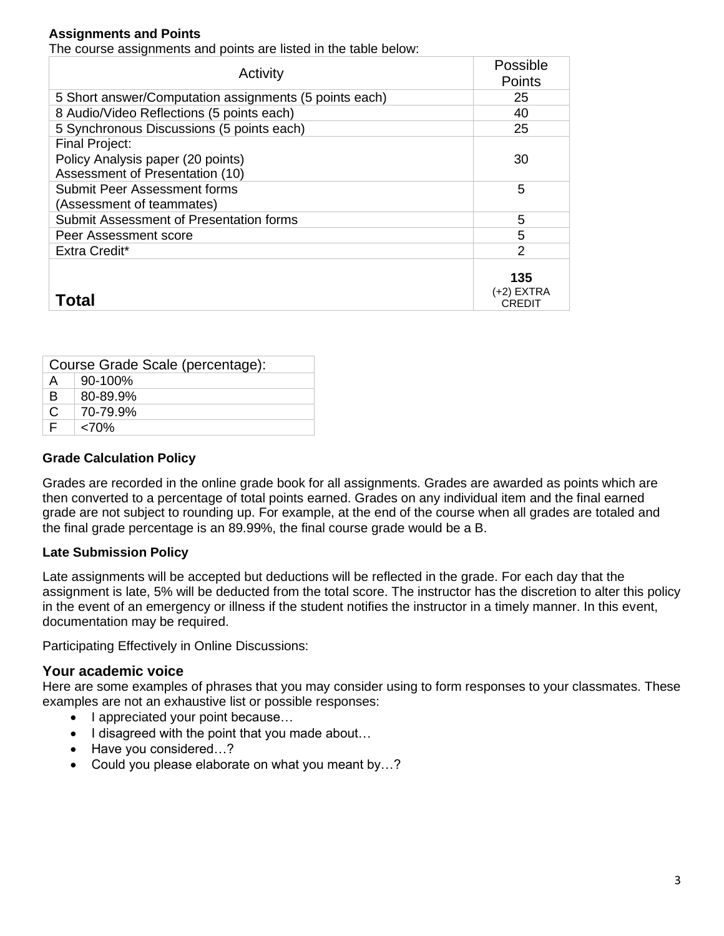# **Assignments and Points**

The course assignments and points are listed in the table below:

| Activity                                               | Possible<br>Points          |
|--------------------------------------------------------|-----------------------------|
| 5 Short answer/Computation assignments (5 points each) | 25                          |
| 8 Audio/Video Reflections (5 points each)              | 40                          |
| 5 Synchronous Discussions (5 points each)              | 25                          |
| <b>Final Project:</b>                                  |                             |
| Policy Analysis paper (20 points)                      | 30                          |
| Assessment of Presentation (10)                        |                             |
| <b>Submit Peer Assessment forms</b>                    | 5                           |
| (Assessment of teammates)                              |                             |
| Submit Assessment of Presentation forms                | 5                           |
| Peer Assessment score                                  | 5                           |
| Extra Credit*                                          | 2                           |
| Total                                                  | 135<br>(+2) EXTRA<br>CREDIT |

| Course Grade Scale (percentage): |              |  |  |
|----------------------------------|--------------|--|--|
| A                                | $90 - 100\%$ |  |  |
| B                                | 80-89.9%     |  |  |
| $\mathsf{C}$                     | 70-79.9%     |  |  |
|                                  | < 70%        |  |  |

#### **Grade Calculation Policy**

Grades are recorded in the online grade book for all assignments. Grades are awarded as points which are then converted to a percentage of total points earned. Grades on any individual item and the final earned grade are not subject to rounding up. For example, at the end of the course when all grades are totaled and the final grade percentage is an 89.99%, the final course grade would be a B.

#### **Late Submission Policy**

Late assignments will be accepted but deductions will be reflected in the grade. For each day that the assignment is late, 5% will be deducted from the total score. The instructor has the discretion to alter this policy in the event of an emergency or illness if the student notifies the instructor in a timely manner. In this event, documentation may be required.

Participating Effectively in Online Discussions:

### **Your academic voice**

Here are some examples of phrases that you may consider using to form responses to your classmates. These examples are not an exhaustive list or possible responses:

- I appreciated your point because...
- I disagreed with the point that you made about...
- Have you considered...?
- Could you please elaborate on what you meant by…?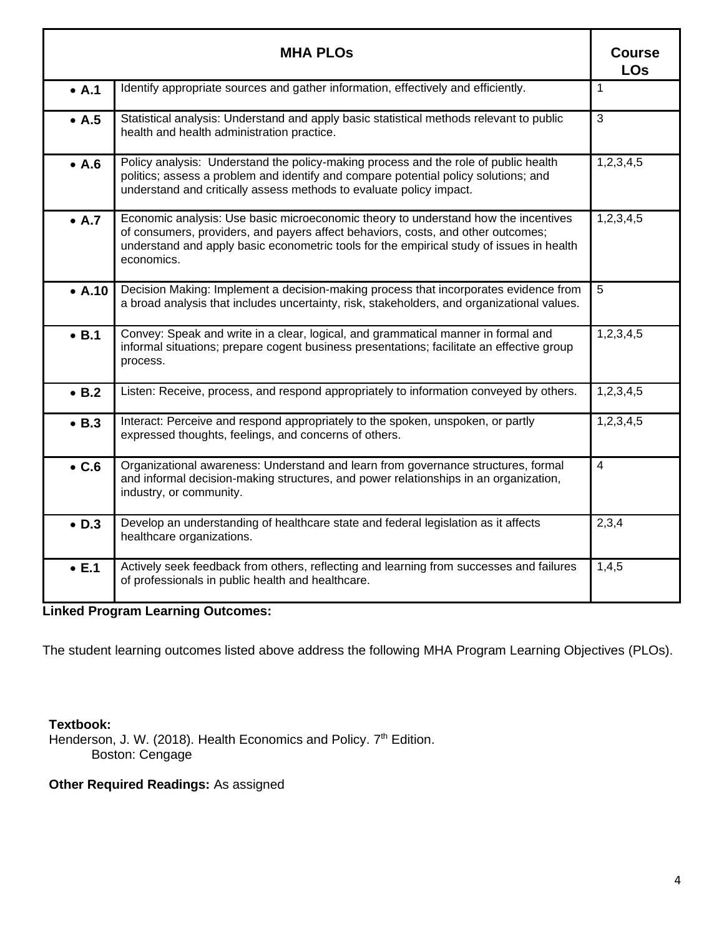|               | <b>MHA PLOS</b>                                                                                                                                                                                                                                                                  | <b>Course</b><br><b>LOs</b> |
|---------------|----------------------------------------------------------------------------------------------------------------------------------------------------------------------------------------------------------------------------------------------------------------------------------|-----------------------------|
| $\bullet$ A.1 | Identify appropriate sources and gather information, effectively and efficiently.                                                                                                                                                                                                | $\mathbf{1}$                |
| $\bullet$ A.5 | Statistical analysis: Understand and apply basic statistical methods relevant to public<br>health and health administration practice.                                                                                                                                            | 3                           |
| $\bullet$ A.6 | Policy analysis: Understand the policy-making process and the role of public health<br>politics; assess a problem and identify and compare potential policy solutions; and<br>understand and critically assess methods to evaluate policy impact.                                | 1,2,3,4,5                   |
| $\bullet$ A.7 | Economic analysis: Use basic microeconomic theory to understand how the incentives<br>of consumers, providers, and payers affect behaviors, costs, and other outcomes;<br>understand and apply basic econometric tools for the empirical study of issues in health<br>economics. | 1,2,3,4,5                   |
| • A.10        | Decision Making: Implement a decision-making process that incorporates evidence from<br>a broad analysis that includes uncertainty, risk, stakeholders, and organizational values.                                                                                               | 5                           |
| $\bullet$ B.1 | Convey: Speak and write in a clear, logical, and grammatical manner in formal and<br>informal situations; prepare cogent business presentations; facilitate an effective group<br>process.                                                                                       | 1,2,3,4,5                   |
| $\bullet$ B.2 | Listen: Receive, process, and respond appropriately to information conveyed by others.                                                                                                                                                                                           | 1,2,3,4,5                   |
| $\bullet$ B.3 | Interact: Perceive and respond appropriately to the spoken, unspoken, or partly<br>expressed thoughts, feelings, and concerns of others.                                                                                                                                         | 1,2,3,4,5                   |
| $\bullet$ C.6 | Organizational awareness: Understand and learn from governance structures, formal<br>and informal decision-making structures, and power relationships in an organization,<br>industry, or community.                                                                             | 4                           |
| $\bullet$ D.3 | Develop an understanding of healthcare state and federal legislation as it affects<br>healthcare organizations.                                                                                                                                                                  | 2,3,4                       |
| $\bullet$ E.1 | Actively seek feedback from others, reflecting and learning from successes and failures<br>of professionals in public health and healthcare.                                                                                                                                     | 1,4,5                       |

# **Linked Program Learning Outcomes:**

The student learning outcomes listed above address the following MHA Program Learning Objectives (PLOs).

# **Textbook:**

Henderson, J. W. (2018). Health Economics and Policy. 7<sup>th</sup> Edition. Boston: Cengage

# **Other Required Readings:** As assigned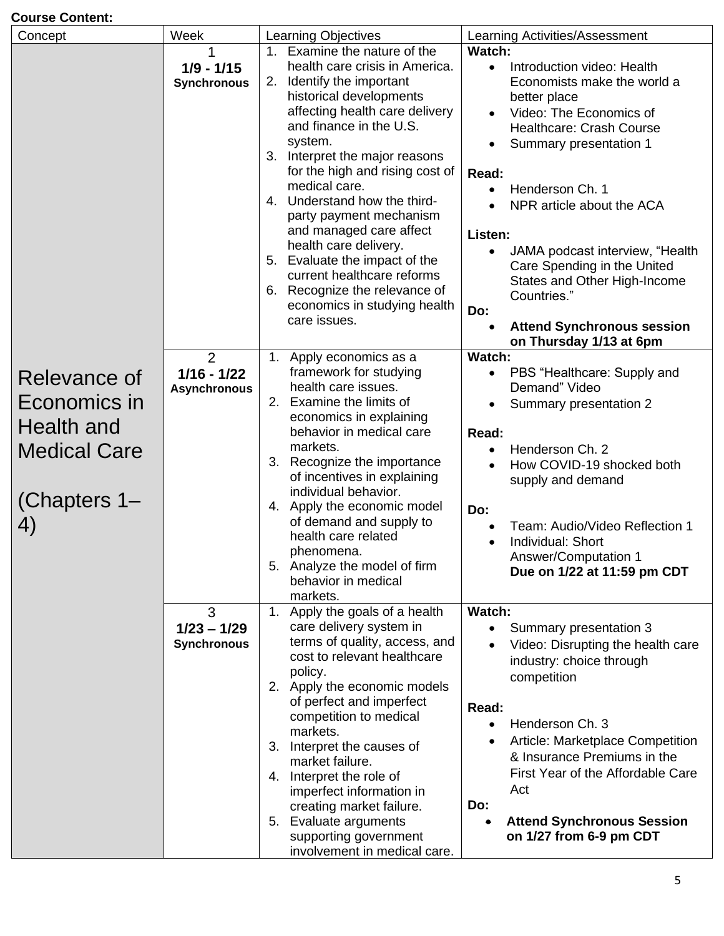# **Course Content:**

| Concept                                                                                 | Week                                                   | <b>Learning Objectives</b>                                                                                                                                                                                                                                                                                                                                                                                                                                                                                                                             | Learning Activities/Assessment                                                                                                                                                                                                                                                                                                                                                                                                                                                 |
|-----------------------------------------------------------------------------------------|--------------------------------------------------------|--------------------------------------------------------------------------------------------------------------------------------------------------------------------------------------------------------------------------------------------------------------------------------------------------------------------------------------------------------------------------------------------------------------------------------------------------------------------------------------------------------------------------------------------------------|--------------------------------------------------------------------------------------------------------------------------------------------------------------------------------------------------------------------------------------------------------------------------------------------------------------------------------------------------------------------------------------------------------------------------------------------------------------------------------|
|                                                                                         | $1/9 - 1/15$<br><b>Synchronous</b>                     | 1. Examine the nature of the<br>health care crisis in America.<br>Identify the important<br>2.<br>historical developments<br>affecting health care delivery<br>and finance in the U.S.<br>system.<br>3. Interpret the major reasons<br>for the high and rising cost of<br>medical care.<br>4. Understand how the third-<br>party payment mechanism<br>and managed care affect<br>health care delivery.<br>5. Evaluate the impact of the<br>current healthcare reforms<br>6. Recognize the relevance of<br>economics in studying health<br>care issues. | Watch:<br>Introduction video: Health<br>$\bullet$<br>Economists make the world a<br>better place<br>Video: The Economics of<br><b>Healthcare: Crash Course</b><br>Summary presentation 1<br>Read:<br>Henderson Ch. 1<br>$\bullet$<br>NPR article about the ACA<br>Listen:<br>JAMA podcast interview, "Health<br>$\bullet$<br>Care Spending in the United<br>States and Other High-Income<br>Countries."<br>Do:<br><b>Attend Synchronous session</b><br>on Thursday 1/13 at 6pm |
| Relevance of<br>Economics in<br>Health and<br><b>Medical Care</b><br>(Chapters 1-<br>4) | $\overline{2}$<br>$1/16 - 1/22$<br><b>Asynchronous</b> | 1. Apply economics as a<br>framework for studying<br>health care issues.<br>Examine the limits of<br>2.<br>economics in explaining<br>behavior in medical care<br>markets.<br>3. Recognize the importance<br>of incentives in explaining<br>individual behavior.<br>Apply the economic model<br>4.<br>of demand and supply to<br>health care related<br>phenomena.<br>5. Analyze the model of firm<br>behavior in medical<br>markets.                                                                                                                  | Watch:<br>PBS "Healthcare: Supply and<br>$\bullet$<br>Demand" Video<br>Summary presentation 2<br>Read:<br>Henderson Ch. 2<br>$\bullet$<br>How COVID-19 shocked both<br>$\bullet$<br>supply and demand<br>Do:<br>Team: Audio/Video Reflection 1<br>Individual: Short<br>$\bullet$<br><b>Answer/Computation 1</b><br>Due on 1/22 at 11:59 pm CDT                                                                                                                                 |
|                                                                                         | 3<br>$1/23 - 1/29$<br><b>Synchronous</b>               | Apply the goals of a health<br>1 <sub>1</sub><br>care delivery system in<br>terms of quality, access, and<br>cost to relevant healthcare<br>policy.<br>2. Apply the economic models<br>of perfect and imperfect<br>competition to medical<br>markets.<br>Interpret the causes of<br>3.<br>market failure.<br>Interpret the role of<br>4.<br>imperfect information in<br>creating market failure.<br>5. Evaluate arguments<br>supporting government<br>involvement in medical care.                                                                     | <b>Watch:</b><br>Summary presentation 3<br>$\bullet$<br>Video: Disrupting the health care<br>$\bullet$<br>industry: choice through<br>competition<br>Read:<br>Henderson Ch. 3<br>$\bullet$<br>Article: Marketplace Competition<br>$\bullet$<br>& Insurance Premiums in the<br>First Year of the Affordable Care<br>Act<br>Do:<br><b>Attend Synchronous Session</b><br>on 1/27 from 6-9 pm CDT                                                                                  |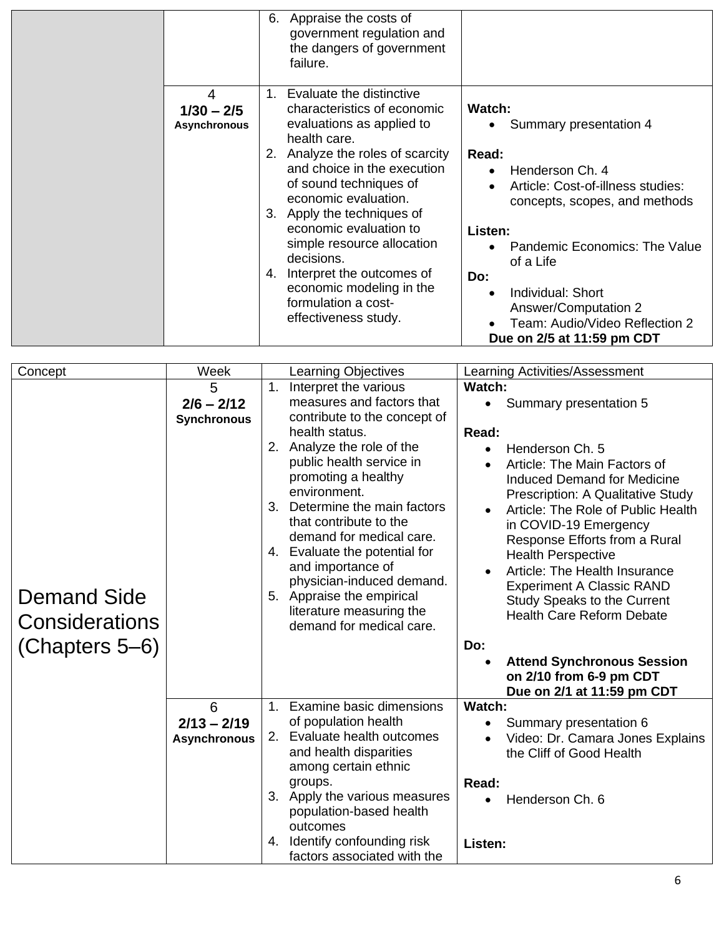|                                          | Appraise the costs of<br>6.<br>government regulation and<br>the dangers of government<br>failure.                                                                                                                                                                                                                                                                                                                                           |                                                                                                                                                                                                                                                                                                                                     |
|------------------------------------------|---------------------------------------------------------------------------------------------------------------------------------------------------------------------------------------------------------------------------------------------------------------------------------------------------------------------------------------------------------------------------------------------------------------------------------------------|-------------------------------------------------------------------------------------------------------------------------------------------------------------------------------------------------------------------------------------------------------------------------------------------------------------------------------------|
| 4<br>$1/30 - 2/5$<br><b>Asynchronous</b> | 1. Evaluate the distinctive<br>characteristics of economic<br>evaluations as applied to<br>health care.<br>2. Analyze the roles of scarcity<br>and choice in the execution<br>of sound techniques of<br>economic evaluation.<br>3. Apply the techniques of<br>economic evaluation to<br>simple resource allocation<br>decisions.<br>4. Interpret the outcomes of<br>economic modeling in the<br>formulation a cost-<br>effectiveness study. | Watch:<br>Summary presentation 4<br>Read:<br>Henderson Ch. 4<br>Article: Cost-of-illness studies:<br>concepts, scopes, and methods<br>Listen:<br>Pandemic Economics: The Value<br>of a Life<br>Do:<br>Individual: Short<br>$\bullet$<br><b>Answer/Computation 2</b><br>Team: Audio/Video Reflection 2<br>Due on 2/5 at 11:59 pm CDT |

| Concept                                                | Week                                      | <b>Learning Objectives</b><br>Learning Activities/Assessment                                                                                                                                                                                                                                                                                                                                                                                                                                                                                                                                                                                                                                                                                                                                                                                                                                                                                                                                                                                                                     |
|--------------------------------------------------------|-------------------------------------------|----------------------------------------------------------------------------------------------------------------------------------------------------------------------------------------------------------------------------------------------------------------------------------------------------------------------------------------------------------------------------------------------------------------------------------------------------------------------------------------------------------------------------------------------------------------------------------------------------------------------------------------------------------------------------------------------------------------------------------------------------------------------------------------------------------------------------------------------------------------------------------------------------------------------------------------------------------------------------------------------------------------------------------------------------------------------------------|
| <b>Demand Side</b><br>Considerations<br>(Chapters 5-6) | 5<br>$2/6 - 2/12$<br><b>Synchronous</b>   | Interpret the various<br>Watch:<br>1.<br>measures and factors that<br>Summary presentation 5<br>$\bullet$<br>contribute to the concept of<br>health status.<br>Read:<br>Analyze the role of the<br>2.<br>Henderson Ch. 5<br>$\bullet$<br>public health service in<br>Article: The Main Factors of<br>promoting a healthy<br><b>Induced Demand for Medicine</b><br>environment.<br><b>Prescription: A Qualitative Study</b><br>Determine the main factors<br>3.<br>Article: The Role of Public Health<br>that contribute to the<br>in COVID-19 Emergency<br>demand for medical care.<br>Response Efforts from a Rural<br>4. Evaluate the potential for<br><b>Health Perspective</b><br>and importance of<br>Article: The Health Insurance<br>physician-induced demand.<br><b>Experiment A Classic RAND</b><br>Appraise the empirical<br>5.<br><b>Study Speaks to the Current</b><br>literature measuring the<br><b>Health Care Reform Debate</b><br>demand for medical care.<br>Do:<br><b>Attend Synchronous Session</b><br>on 2/10 from 6-9 pm CDT<br>Due on 2/1 at 11:59 pm CDT |
|                                                        | 6<br>$2/13 - 2/19$<br><b>Asynchronous</b> | 1. Examine basic dimensions<br>Watch:<br>of population health<br>Summary presentation 6<br>2. Evaluate health outcomes<br>Video: Dr. Camara Jones Explains<br>and health disparities<br>the Cliff of Good Health<br>among certain ethnic<br>Read:<br>groups.<br>Apply the various measures<br>3.<br>Henderson Ch. 6<br>population-based health<br>outcomes<br>Identify confounding risk<br>4.<br>Listen:<br>factors associated with the                                                                                                                                                                                                                                                                                                                                                                                                                                                                                                                                                                                                                                          |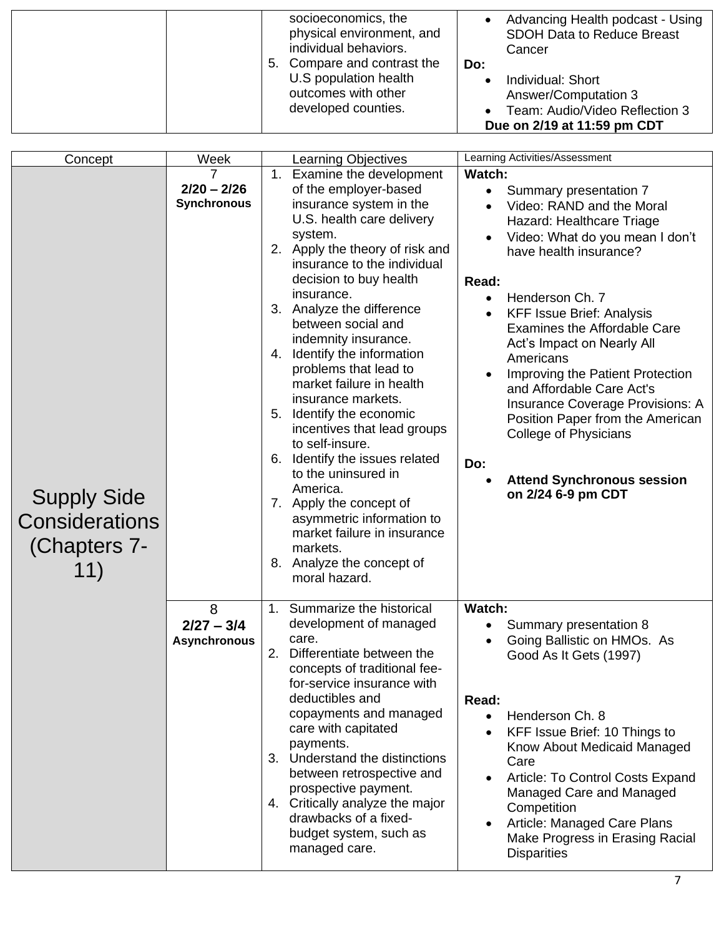| socioeconomics, the<br>physical environment, and<br>individual behaviors.<br>5. Compare and contrast the | Advancing Health podcast - Using<br><b>SDOH Data to Reduce Breast</b><br>Cancer<br>Do:                     |
|----------------------------------------------------------------------------------------------------------|------------------------------------------------------------------------------------------------------------|
| U.S population health<br>outcomes with other<br>developed counties.                                      | Individual: Short<br>Answer/Computation 3<br>Team: Audio/Video Reflection 3<br>Due on 2/19 at 11:59 pm CDT |

| Concept                                                            | Week                                     | <b>Learning Objectives</b>                                                                                                                                                                                                                                                                                                                                                                                                                                                                                                                                                                                                                                                                                                | Learning Activities/Assessment                                                                                                                                                                                                                                                                                                                                                                                                                                                                                                                                                        |
|--------------------------------------------------------------------|------------------------------------------|---------------------------------------------------------------------------------------------------------------------------------------------------------------------------------------------------------------------------------------------------------------------------------------------------------------------------------------------------------------------------------------------------------------------------------------------------------------------------------------------------------------------------------------------------------------------------------------------------------------------------------------------------------------------------------------------------------------------------|---------------------------------------------------------------------------------------------------------------------------------------------------------------------------------------------------------------------------------------------------------------------------------------------------------------------------------------------------------------------------------------------------------------------------------------------------------------------------------------------------------------------------------------------------------------------------------------|
| <b>Supply Side</b><br><b>Considerations</b><br>(Chapters 7-<br>11) | 7<br>$2/20 - 2/26$<br><b>Synchronous</b> | 1. Examine the development<br>of the employer-based<br>insurance system in the<br>U.S. health care delivery<br>system.<br>2. Apply the theory of risk and<br>insurance to the individual<br>decision to buy health<br>insurance.<br>3. Analyze the difference<br>between social and<br>indemnity insurance.<br>4. Identify the information<br>problems that lead to<br>market failure in health<br>insurance markets.<br>5. Identify the economic<br>incentives that lead groups<br>to self-insure.<br>6. Identify the issues related<br>to the uninsured in<br>America.<br>7. Apply the concept of<br>asymmetric information to<br>market failure in insurance<br>markets.<br>8. Analyze the concept of<br>moral hazard. | <b>Watch:</b><br>Summary presentation 7<br>$\bullet$<br>Video: RAND and the Moral<br>Hazard: Healthcare Triage<br>Video: What do you mean I don't<br>have health insurance?<br>Read:<br>Henderson Ch. 7<br>$\bullet$<br><b>KFF Issue Brief: Analysis</b><br><b>Examines the Affordable Care</b><br>Act's Impact on Nearly All<br>Americans<br>Improving the Patient Protection<br>and Affordable Care Act's<br><b>Insurance Coverage Provisions: A</b><br>Position Paper from the American<br>College of Physicians<br>Do:<br><b>Attend Synchronous session</b><br>on 2/24 6-9 pm CDT |
|                                                                    | 8<br>$2/27 - 3/4$<br><b>Asynchronous</b> | 1. Summarize the historical<br>development of managed<br>care.<br>2.<br>Differentiate between the<br>concepts of traditional fee-<br>for-service insurance with<br>deductibles and<br>copayments and managed<br>care with capitated<br>payments.<br>3. Understand the distinctions<br>between retrospective and<br>prospective payment.<br>4. Critically analyze the major<br>drawbacks of a fixed-<br>budget system, such as<br>managed care.                                                                                                                                                                                                                                                                            | <b>Watch:</b><br>Summary presentation 8<br>$\bullet$<br>Going Ballistic on HMOs. As<br>Good As It Gets (1997)<br>Read:<br>Henderson Ch. 8<br>$\bullet$<br>KFF Issue Brief: 10 Things to<br>Know About Medicaid Managed<br>Care<br>Article: To Control Costs Expand<br>Managed Care and Managed<br>Competition<br>Article: Managed Care Plans<br>Make Progress in Erasing Racial<br><b>Disparities</b>                                                                                                                                                                                 |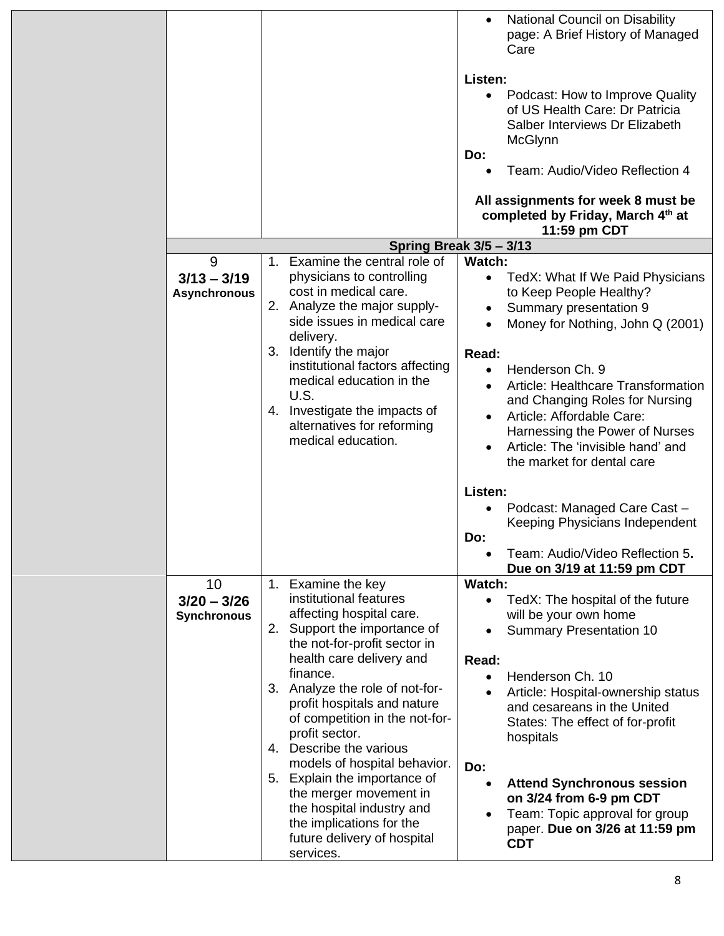|                                           |                                                                                                                                                                                                                                                                                                                                                                                                                                                                                                                                        | National Council on Disability<br>$\bullet$<br>page: A Brief History of Managed<br>Care                                                                                                                                                                                                                                                                                                                                                                                                                   |
|-------------------------------------------|----------------------------------------------------------------------------------------------------------------------------------------------------------------------------------------------------------------------------------------------------------------------------------------------------------------------------------------------------------------------------------------------------------------------------------------------------------------------------------------------------------------------------------------|-----------------------------------------------------------------------------------------------------------------------------------------------------------------------------------------------------------------------------------------------------------------------------------------------------------------------------------------------------------------------------------------------------------------------------------------------------------------------------------------------------------|
|                                           |                                                                                                                                                                                                                                                                                                                                                                                                                                                                                                                                        | Listen:                                                                                                                                                                                                                                                                                                                                                                                                                                                                                                   |
|                                           |                                                                                                                                                                                                                                                                                                                                                                                                                                                                                                                                        | Podcast: How to Improve Quality<br>of US Health Care: Dr Patricia<br>Salber Interviews Dr Elizabeth<br>McGlynn<br>Do:                                                                                                                                                                                                                                                                                                                                                                                     |
|                                           |                                                                                                                                                                                                                                                                                                                                                                                                                                                                                                                                        | Team: Audio/Video Reflection 4                                                                                                                                                                                                                                                                                                                                                                                                                                                                            |
|                                           |                                                                                                                                                                                                                                                                                                                                                                                                                                                                                                                                        | All assignments for week 8 must be<br>completed by Friday, March 4th at<br>11:59 pm CDT                                                                                                                                                                                                                                                                                                                                                                                                                   |
|                                           |                                                                                                                                                                                                                                                                                                                                                                                                                                                                                                                                        | Spring Break 3/5 - 3/13                                                                                                                                                                                                                                                                                                                                                                                                                                                                                   |
| 9<br>$3/13 - 3/19$<br><b>Asynchronous</b> | 1. Examine the central role of<br>physicians to controlling<br>cost in medical care.<br>2. Analyze the major supply-<br>side issues in medical care<br>delivery.<br>3. Identify the major<br>institutional factors affecting<br>medical education in the<br>U.S.<br>4. Investigate the impacts of<br>alternatives for reforming<br>medical education.                                                                                                                                                                                  | Watch:<br>TedX: What If We Paid Physicians<br>$\bullet$<br>to Keep People Healthy?<br>Summary presentation 9<br>٠<br>Money for Nothing, John Q (2001)<br>$\bullet$<br>Read:<br>Henderson Ch. 9<br>$\bullet$<br>Article: Healthcare Transformation<br>and Changing Roles for Nursing<br>Article: Affordable Care:<br>Harnessing the Power of Nurses<br>Article: The 'invisible hand' and<br>the market for dental care<br>Listen:<br>Podcast: Managed Care Cast -<br>Keeping Physicians Independent<br>Do: |
|                                           |                                                                                                                                                                                                                                                                                                                                                                                                                                                                                                                                        | Team: Audio/Video Reflection 5.<br>Due on 3/19 at 11:59 pm CDT                                                                                                                                                                                                                                                                                                                                                                                                                                            |
| 10<br>$3/20 - 3/26$<br><b>Synchronous</b> | 1. Examine the key<br>institutional features<br>affecting hospital care.<br>Support the importance of<br>2.<br>the not-for-profit sector in<br>health care delivery and<br>finance.<br>3. Analyze the role of not-for-<br>profit hospitals and nature<br>of competition in the not-for-<br>profit sector.<br>Describe the various<br>4.<br>models of hospital behavior.<br>5. Explain the importance of<br>the merger movement in<br>the hospital industry and<br>the implications for the<br>future delivery of hospital<br>services. | Watch:<br>TedX: The hospital of the future<br>$\bullet$<br>will be your own home<br><b>Summary Presentation 10</b><br>$\bullet$<br>Read:<br>Henderson Ch. 10<br>$\bullet$<br>Article: Hospital-ownership status<br>and cesareans in the United<br>States: The effect of for-profit<br>hospitals<br>Do:<br><b>Attend Synchronous session</b><br>$\bullet$<br>on 3/24 from 6-9 pm CDT<br>Team: Topic approval for group<br>$\bullet$<br>paper. Due on 3/26 at 11:59 pm<br><b>CDT</b>                        |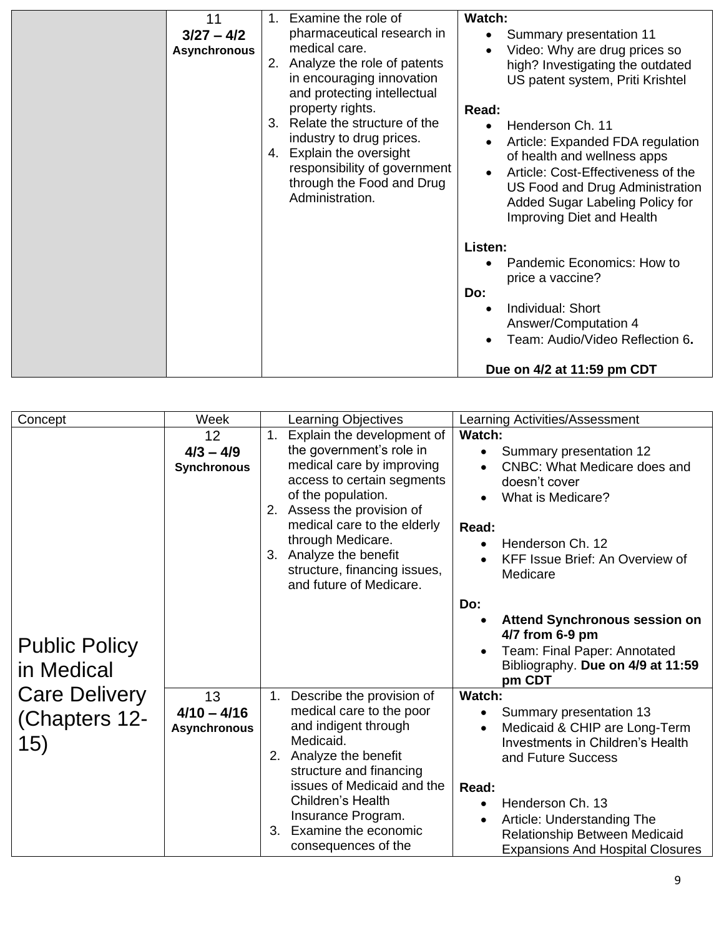| 11<br>$3/27 - 4/2$<br><b>Asynchronous</b> | $1_{-}$<br>2.<br>$3_{-}$<br>4. | Examine the role of<br>pharmaceutical research in<br>medical care.<br>Analyze the role of patents<br>in encouraging innovation<br>and protecting intellectual<br>property rights.<br>Relate the structure of the<br>industry to drug prices.<br>Explain the oversight<br>responsibility of government<br>through the Food and Drug<br>Administration. | Watch:<br>Read:<br>$\bullet$ | Summary presentation 11<br>Video: Why are drug prices so<br>high? Investigating the outdated<br>US patent system, Priti Krishtel<br>Henderson Ch. 11<br>Article: Expanded FDA regulation<br>of health and wellness apps<br>Article: Cost-Effectiveness of the<br>US Food and Drug Administration<br>Added Sugar Labeling Policy for<br>Improving Diet and Health |
|-------------------------------------------|--------------------------------|-------------------------------------------------------------------------------------------------------------------------------------------------------------------------------------------------------------------------------------------------------------------------------------------------------------------------------------------------------|------------------------------|------------------------------------------------------------------------------------------------------------------------------------------------------------------------------------------------------------------------------------------------------------------------------------------------------------------------------------------------------------------|
|                                           |                                |                                                                                                                                                                                                                                                                                                                                                       | Listen:<br>Do:<br>$\bullet$  | Pandemic Economics: How to<br>price a vaccine?<br>Individual: Short<br><b>Answer/Computation 4</b><br>Team: Audio/Video Reflection 6.<br>Due on 4/2 at 11:59 pm CDT                                                                                                                                                                                              |

| Concept                                      | Week                                       | <b>Learning Objectives</b>                                                                                                                                                                                                                                                                                           | Learning Activities/Assessment                                                                                                                                                                                                                                                                                          |
|----------------------------------------------|--------------------------------------------|----------------------------------------------------------------------------------------------------------------------------------------------------------------------------------------------------------------------------------------------------------------------------------------------------------------------|-------------------------------------------------------------------------------------------------------------------------------------------------------------------------------------------------------------------------------------------------------------------------------------------------------------------------|
|                                              | 12<br>$4/3 - 4/9$<br><b>Synchronous</b>    | Explain the development of<br>1.<br>the government's role in<br>medical care by improving<br>access to certain segments<br>of the population.<br>2. Assess the provision of<br>medical care to the elderly<br>through Medicare.<br>3. Analyze the benefit<br>structure, financing issues,<br>and future of Medicare. | Watch:<br>Summary presentation 12<br>$\bullet$<br><b>CNBC: What Medicare does and</b><br>doesn't cover<br>What is Medicare?<br>Read:<br>Henderson Ch. 12<br>$\bullet$<br>KFF Issue Brief: An Overview of<br>$\bullet$<br>Medicare                                                                                       |
| <b>Public Policy</b><br>in Medical           |                                            |                                                                                                                                                                                                                                                                                                                      | Do:<br><b>Attend Synchronous session on</b><br>$\bullet$<br>4/7 from 6-9 pm<br>Team: Final Paper: Annotated<br>$\bullet$<br>Bibliography. Due on 4/9 at 11:59<br>pm CDT                                                                                                                                                 |
| <b>Care Delivery</b><br>(Chapters 12-<br>15) | 13<br>$4/10 - 4/16$<br><b>Asynchronous</b> | Describe the provision of<br>1.<br>medical care to the poor<br>and indigent through<br>Medicaid.<br>Analyze the benefit<br>2.<br>structure and financing<br>issues of Medicaid and the<br>Children's Health<br>Insurance Program.<br>Examine the economic<br>3.<br>consequences of the                               | Watch:<br>Summary presentation 13<br>$\bullet$<br>Medicaid & CHIP are Long-Term<br>$\bullet$<br>Investments in Children's Health<br>and Future Success<br>Read:<br>Henderson Ch. 13<br>$\bullet$<br>Article: Understanding The<br>$\bullet$<br>Relationship Between Medicaid<br><b>Expansions And Hospital Closures</b> |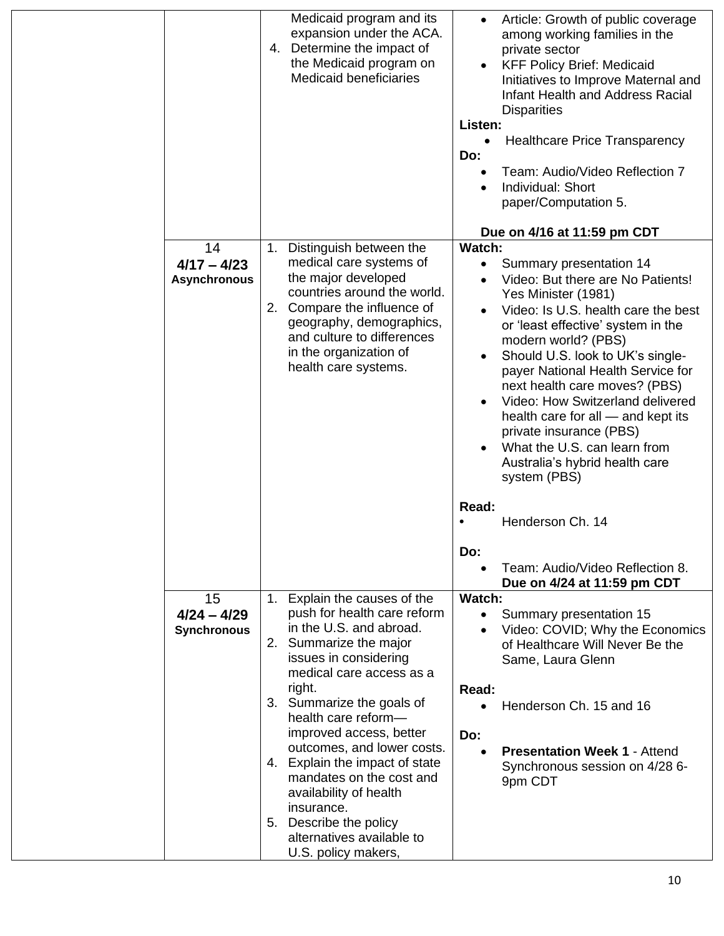|                                            | Medicaid program and its<br>expansion under the ACA.<br>Determine the impact of<br>4.<br>the Medicaid program on<br><b>Medicaid beneficiaries</b>                                                                                                                                                                                                                                                                                                                                | Article: Growth of public coverage<br>$\bullet$<br>among working families in the<br>private sector<br><b>KFF Policy Brief: Medicaid</b><br>$\bullet$<br>Initiatives to Improve Maternal and<br><b>Infant Health and Address Racial</b><br><b>Disparities</b><br>Listen:<br><b>Healthcare Price Transparency</b><br>Do:<br>Team: Audio/Video Reflection 7<br>Individual: Short<br>paper/Computation 5.<br>Due on 4/16 at 11:59 pm CDT                                                                                                                                                                                                                           |
|--------------------------------------------|----------------------------------------------------------------------------------------------------------------------------------------------------------------------------------------------------------------------------------------------------------------------------------------------------------------------------------------------------------------------------------------------------------------------------------------------------------------------------------|----------------------------------------------------------------------------------------------------------------------------------------------------------------------------------------------------------------------------------------------------------------------------------------------------------------------------------------------------------------------------------------------------------------------------------------------------------------------------------------------------------------------------------------------------------------------------------------------------------------------------------------------------------------|
| 14<br>$4/17 - 4/23$<br><b>Asynchronous</b> | Distinguish between the<br>1.<br>medical care systems of<br>the major developed<br>countries around the world.<br>2. Compare the influence of<br>geography, demographics,<br>and culture to differences<br>in the organization of<br>health care systems.                                                                                                                                                                                                                        | <b>Watch:</b><br>Summary presentation 14<br>$\bullet$<br>Video: But there are No Patients!<br>$\bullet$<br>Yes Minister (1981)<br>Video: Is U.S. health care the best<br>$\bullet$<br>or 'least effective' system in the<br>modern world? (PBS)<br>Should U.S. look to UK's single-<br>$\bullet$<br>payer National Health Service for<br>next health care moves? (PBS)<br>Video: How Switzerland delivered<br>$\bullet$<br>health care for all - and kept its<br>private insurance (PBS)<br>What the U.S. can learn from<br>$\bullet$<br>Australia's hybrid health care<br>system (PBS)<br>Read:<br>Henderson Ch. 14<br>Do:<br>Team: Audio/Video Reflection 8. |
| 15<br>$4/24 - 4/29$<br><b>Synchronous</b>  | 1. Explain the causes of the<br>push for health care reform<br>in the U.S. and abroad.<br>2. Summarize the major<br>issues in considering<br>medical care access as a<br>right.<br>3. Summarize the goals of<br>health care reform-<br>improved access, better<br>outcomes, and lower costs.<br>4. Explain the impact of state<br>mandates on the cost and<br>availability of health<br>insurance.<br>5. Describe the policy<br>alternatives available to<br>U.S. policy makers, | Due on 4/24 at 11:59 pm CDT<br>Watch:<br>Summary presentation 15<br>٠<br>Video: COVID; Why the Economics<br>$\bullet$<br>of Healthcare Will Never Be the<br>Same, Laura Glenn<br>Read:<br>Henderson Ch. 15 and 16<br>Do:<br><b>Presentation Week 1 - Attend</b><br>Synchronous session on 4/28 6-<br>9pm CDT                                                                                                                                                                                                                                                                                                                                                   |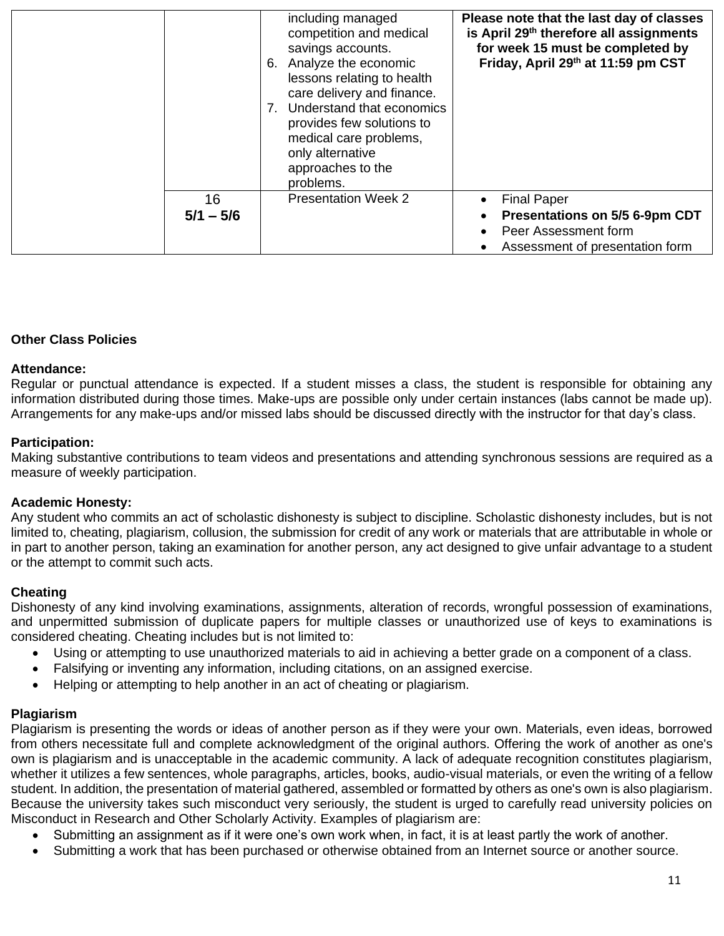|                   | including managed<br>competition and medical<br>savings accounts.<br>6. Analyze the economic<br>lessons relating to health<br>care delivery and finance.<br>7. Understand that economics<br>provides few solutions to<br>medical care problems,<br>only alternative<br>approaches to the<br>problems. | Please note that the last day of classes<br>is April 29th therefore all assignments<br>for week 15 must be completed by<br>Friday, April 29th at 11:59 pm CST |
|-------------------|-------------------------------------------------------------------------------------------------------------------------------------------------------------------------------------------------------------------------------------------------------------------------------------------------------|---------------------------------------------------------------------------------------------------------------------------------------------------------------|
| 16<br>$5/1 - 5/6$ | <b>Presentation Week 2</b>                                                                                                                                                                                                                                                                            | <b>Final Paper</b><br>Presentations on 5/5 6-9pm CDT<br>Peer Assessment form<br>Assessment of presentation form                                               |

# **Other Class Policies**

#### **Attendance:**

Regular or punctual attendance is expected. If a student misses a class, the student is responsible for obtaining any information distributed during those times. Make-ups are possible only under certain instances (labs cannot be made up). Arrangements for any make-ups and/or missed labs should be discussed directly with the instructor for that day's class.

#### **Participation:**

Making substantive contributions to team videos and presentations and attending synchronous sessions are required as a measure of weekly participation.

#### **Academic Honesty:**

Any student who commits an act of scholastic dishonesty is subject to discipline. Scholastic dishonesty includes, but is not limited to, cheating, plagiarism, collusion, the submission for credit of any work or materials that are attributable in whole or in part to another person, taking an examination for another person, any act designed to give unfair advantage to a student or the attempt to commit such acts.

#### **Cheating**

Dishonesty of any kind involving examinations, assignments, alteration of records, wrongful possession of examinations, and unpermitted submission of duplicate papers for multiple classes or unauthorized use of keys to examinations is considered cheating. Cheating includes but is not limited to:

- Using or attempting to use unauthorized materials to aid in achieving a better grade on a component of a class.
- Falsifying or inventing any information, including citations, on an assigned exercise.
- Helping or attempting to help another in an act of cheating or plagiarism.

#### **Plagiarism**

Plagiarism is presenting the words or ideas of another person as if they were your own. Materials, even ideas, borrowed from others necessitate full and complete acknowledgment of the original authors. Offering the work of another as one's own is plagiarism and is unacceptable in the academic community. A lack of adequate recognition constitutes plagiarism, whether it utilizes a few sentences, whole paragraphs, articles, books, audio-visual materials, or even the writing of a fellow student. In addition, the presentation of material gathered, assembled or formatted by others as one's own is also plagiarism. Because the university takes such misconduct very seriously, the student is urged to carefully read university policies on Misconduct in Research and Other Scholarly Activity. Examples of plagiarism are:

- Submitting an assignment as if it were one's own work when, in fact, it is at least partly the work of another.
- Submitting a work that has been purchased or otherwise obtained from an Internet source or another source.